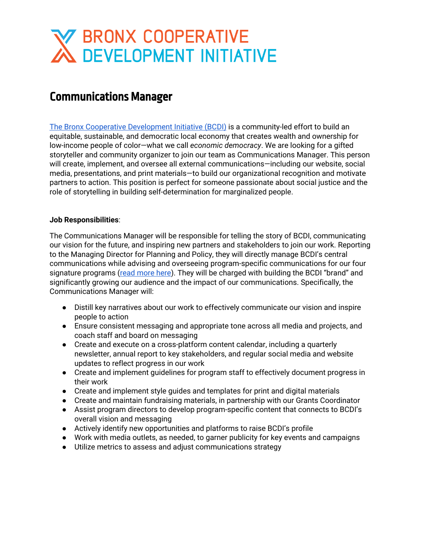# W BRONX COOPERATIVE<br>
N DEVELOPMENT INITIATIVE

### Communications Manager

The Bronx Cooperative [Development](http://bcdi.nyc/) Initiative (BCDI) is a community-led effort to build an equitable, sustainable, and democratic local economy that creates wealth and ownership for low-income people of color—what we call *economic democracy*. We are looking for a gifted storyteller and community organizer to join our team as Communications Manager. This person will create, implement, and oversee all external communications—including our website, social media, presentations, and print materials—to build our organizational recognition and motivate partners to action. This position is perfect for someone passionate about social justice and the role of storytelling in building self-determination for marginalized people.

#### **Job Responsibilities**:

The Communications Manager will be responsible for telling the story of BCDI, communicating our vision for the future, and inspiring new partners and stakeholders to join our work. Reporting to the Managing Director for Planning and Policy, they will directly manage BCDI's central communications while advising and overseeing program-specific communications for our four signature programs (read [more](https://bcdi.nyc/our-model/) here). They will be charged with building the BCDI "brand" and significantly growing our audience and the impact of our communications. Specifically, the Communications Manager will:

- Distill key narratives about our work to effectively communicate our vision and inspire people to action
- Ensure consistent messaging and appropriate tone across all media and projects, and coach staff and board on messaging
- Create and execute on a cross-platform content calendar, including a quarterly newsletter, annual report to key stakeholders, and regular social media and website updates to reflect progress in our work
- Create and implement guidelines for program staff to effectively document progress in their work
- Create and implement style guides and templates for print and digital materials
- Create and maintain fundraising materials, in partnership with our Grants Coordinator
- Assist program directors to develop program-specific content that connects to BCDI's overall vision and messaging
- Actively identify new opportunities and platforms to raise BCDI's profile
- Work with media outlets, as needed, to garner publicity for key events and campaigns
- Utilize metrics to assess and adjust communications strategy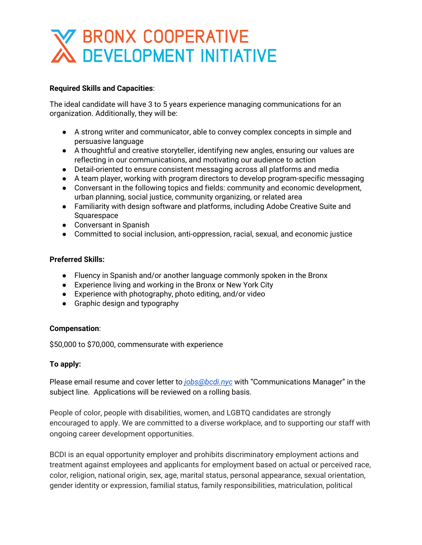## **BRONX COOPERATIVE**<br>NDEVELOPMENT INITIATIVE

#### **Required Skills and Capacities**:

The ideal candidate will have 3 to 5 years experience managing communications for an organization. Additionally, they will be:

- A strong writer and communicator, able to convey complex concepts in simple and persuasive language
- A thoughtful and creative storyteller, identifying new angles, ensuring our values are reflecting in our communications, and motivating our audience to action
- Detail-oriented to ensure consistent messaging across all platforms and media
- A team player, working with program directors to develop program-specific messaging
- Conversant in the following topics and fields: community and economic development, urban planning, social justice, community organizing, or related area
- Familiarity with design software and platforms, including Adobe Creative Suite and Squarespace
- Conversant in Spanish
- Committed to social inclusion, anti-oppression, racial, sexual, and economic justice

#### **Preferred Skills:**

- Fluency in Spanish and/or another language commonly spoken in the Bronx
- Experience living and working in the Bronx or New York City
- Experience with photography, photo editing, and/or video
- Graphic design and typography

#### **Compensation**:

\$50,000 to \$70,000, commensurate with experience

#### **To apply:**

Please email resume and cover letter to *[jobs@bcdi.nyc](http://jobs@bcdi.nyc/)* with "Communications Manager" in the subject line. Applications will be reviewed on a rolling basis.

People of color, people with disabilities, women, and LGBTQ candidates are strongly encouraged to apply. We are committed to a diverse workplace, and to supporting our staff with ongoing career development opportunities.

BCDI is an equal opportunity employer and prohibits discriminatory employment actions and treatment against employees and applicants for employment based on actual or perceived race, color, religion, national origin, sex, age, marital status, personal appearance, sexual orientation, gender identity or expression, familial status, family responsibilities, matriculation, political